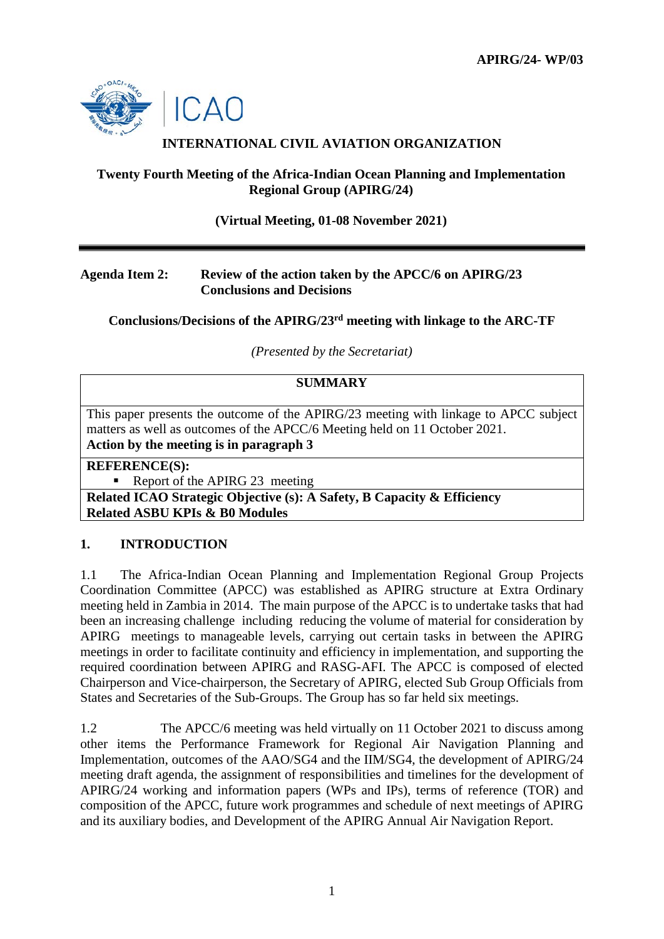

# **INTERNATIONAL CIVIL AVIATION ORGANIZATION**

### **Twenty Fourth Meeting of the Africa-Indian Ocean Planning and Implementation Regional Group (APIRG/24)**

**(Virtual Meeting, 01-08 November 2021)**

### **Agenda Item 2: Review of the action taken by the APCC/6 on APIRG/23 Conclusions and Decisions**

**Conclusions/Decisions of the APIRG/23rd meeting with linkage to the ARC-TF**

*(Presented by the Secretariat)*

### **SUMMARY**

This paper presents the outcome of the APIRG/23 meeting with linkage to APCC subject matters as well as outcomes of the APCC/6 Meeting held on 11 October 2021. **Action by the meeting is in paragraph 3**

**REFERENCE(S):**

Report of the APIRG 23 meeting

**Related ICAO Strategic Objective (s): A Safety, B Capacity & Efficiency Related ASBU KPIs & B0 Modules**

# **1. INTRODUCTION**

1.1 The Africa-Indian Ocean Planning and Implementation Regional Group Projects Coordination Committee (APCC) was established as APIRG structure at Extra Ordinary meeting held in Zambia in 2014. The main purpose of the APCC is to undertake tasks that had been an increasing challenge including reducing the volume of material for consideration by APIRG meetings to manageable levels, carrying out certain tasks in between the APIRG meetings in order to facilitate continuity and efficiency in implementation, and supporting the required coordination between APIRG and RASG-AFI. The APCC is composed of elected Chairperson and Vice-chairperson, the Secretary of APIRG, elected Sub Group Officials from States and Secretaries of the Sub-Groups. The Group has so far held six meetings.

1.2 The APCC/6 meeting was held virtually on 11 October 2021 to discuss among other items the Performance Framework for Regional Air Navigation Planning and Implementation, outcomes of the AAO/SG4 and the IIM/SG4, the development of APIRG/24 meeting draft agenda, the assignment of responsibilities and timelines for the development of APIRG/24 working and information papers (WPs and IPs), terms of reference (TOR) and composition of the APCC, future work programmes and schedule of next meetings of APIRG and its auxiliary bodies, and Development of the APIRG Annual Air Navigation Report.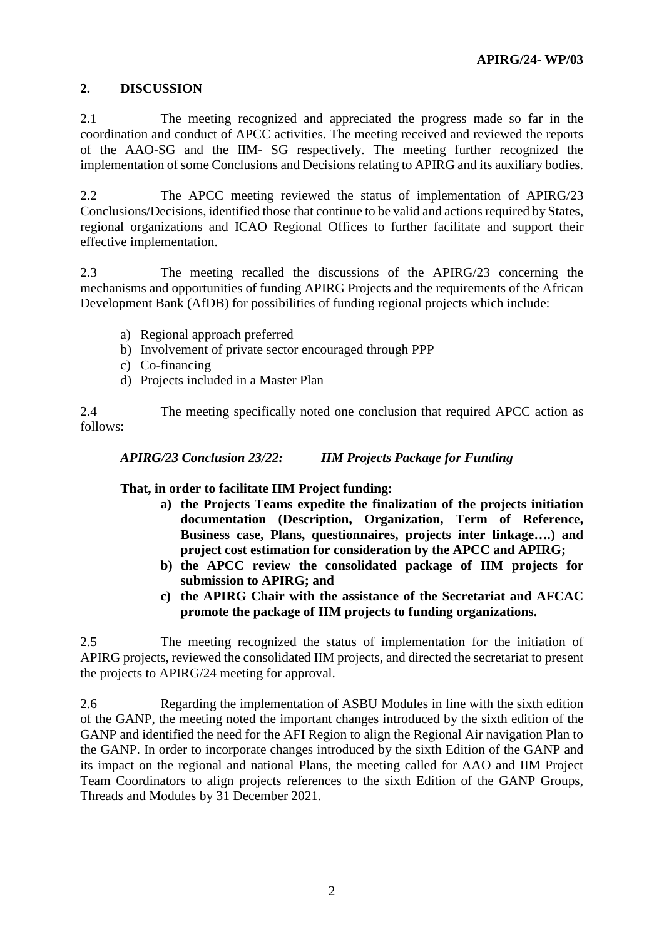# **2. DISCUSSION**

2.1 The meeting recognized and appreciated the progress made so far in the coordination and conduct of APCC activities. The meeting received and reviewed the reports of the AAO-SG and the IIM- SG respectively. The meeting further recognized the implementation of some Conclusions and Decisions relating to APIRG and its auxiliary bodies.

2.2 The APCC meeting reviewed the status of implementation of APIRG/23 Conclusions/Decisions, identified those that continue to be valid and actions required by States, regional organizations and ICAO Regional Offices to further facilitate and support their effective implementation.

2.3 The meeting recalled the discussions of the APIRG/23 concerning the mechanisms and opportunities of funding APIRG Projects and the requirements of the African Development Bank (AfDB) for possibilities of funding regional projects which include:

- a) Regional approach preferred
- b) Involvement of private sector encouraged through PPP
- c) Co-financing
- d) Projects included in a Master Plan

2.4 The meeting specifically noted one conclusion that required APCC action as follows:

*APIRG/23 Conclusion 23/22: IIM Projects Package for Funding* 

**That, in order to facilitate IIM Project funding:**

- **a) the Projects Teams expedite the finalization of the projects initiation documentation (Description, Organization, Term of Reference, Business case, Plans, questionnaires, projects inter linkage….) and project cost estimation for consideration by the APCC and APIRG;**
- **b) the APCC review the consolidated package of IIM projects for submission to APIRG; and**
- **c) the APIRG Chair with the assistance of the Secretariat and AFCAC promote the package of IIM projects to funding organizations.**

2.5 The meeting recognized the status of implementation for the initiation of APIRG projects, reviewed the consolidated IIM projects, and directed the secretariat to present the projects to APIRG/24 meeting for approval.

2.6 Regarding the implementation of ASBU Modules in line with the sixth edition of the GANP, the meeting noted the important changes introduced by the sixth edition of the GANP and identified the need for the AFI Region to align the Regional Air navigation Plan to the GANP. In order to incorporate changes introduced by the sixth Edition of the GANP and its impact on the regional and national Plans, the meeting called for AAO and IIM Project Team Coordinators to align projects references to the sixth Edition of the GANP Groups, Threads and Modules by 31 December 2021.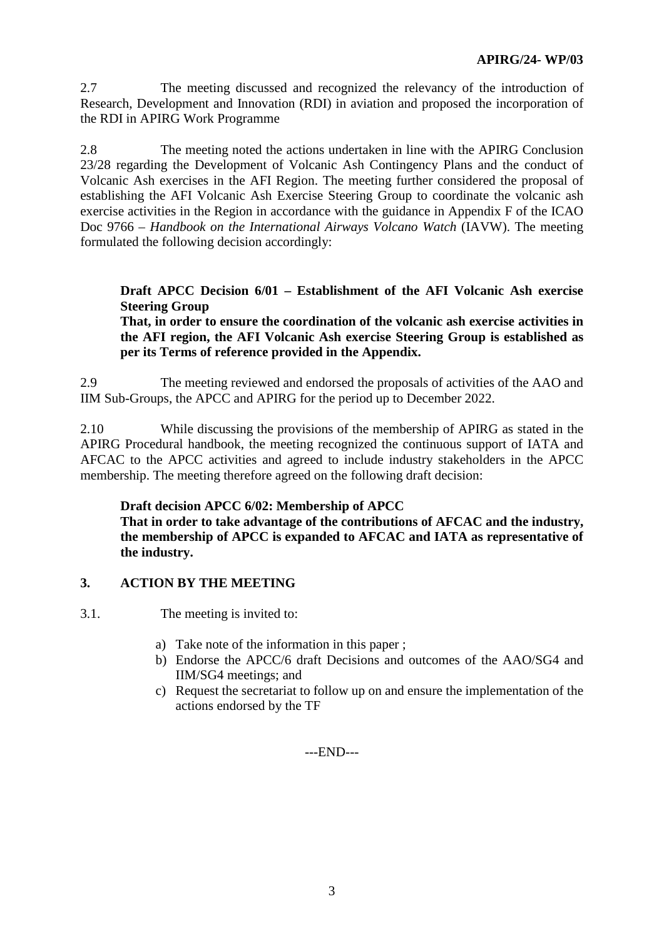2.7 The meeting discussed and recognized the relevancy of the introduction of Research, Development and Innovation (RDI) in aviation and proposed the incorporation of the RDI in APIRG Work Programme

2.8 The meeting noted the actions undertaken in line with the APIRG Conclusion 23/28 regarding the Development of Volcanic Ash Contingency Plans and the conduct of Volcanic Ash exercises in the AFI Region. The meeting further considered the proposal of establishing the AFI Volcanic Ash Exercise Steering Group to coordinate the volcanic ash exercise activities in the Region in accordance with the guidance in Appendix F of the ICAO Doc 9766 – *Handbook on the International Airways Volcano Watch* (IAVW). The meeting formulated the following decision accordingly:

### **Draft APCC Decision 6/01 – Establishment of the AFI Volcanic Ash exercise Steering Group**

**That, in order to ensure the coordination of the volcanic ash exercise activities in the AFI region, the AFI Volcanic Ash exercise Steering Group is established as per its Terms of reference provided in the Appendix.**

2.9 The meeting reviewed and endorsed the proposals of activities of the AAO and IIM Sub-Groups, the APCC and APIRG for the period up to December 2022.

2.10 While discussing the provisions of the membership of APIRG as stated in the APIRG Procedural handbook, the meeting recognized the continuous support of IATA and AFCAC to the APCC activities and agreed to include industry stakeholders in the APCC membership. The meeting therefore agreed on the following draft decision:

# **Draft decision APCC 6/02: Membership of APCC**

**That in order to take advantage of the contributions of AFCAC and the industry, the membership of APCC is expanded to AFCAC and IATA as representative of the industry.**

# **3. ACTION BY THE MEETING**

3.1. The meeting is invited to:

- a) Take note of the information in this paper ;
- b) Endorse the APCC/6 draft Decisions and outcomes of the AAO/SG4 and IIM/SG4 meetings; and
- c) Request the secretariat to follow up on and ensure the implementation of the actions endorsed by the TF

---END---